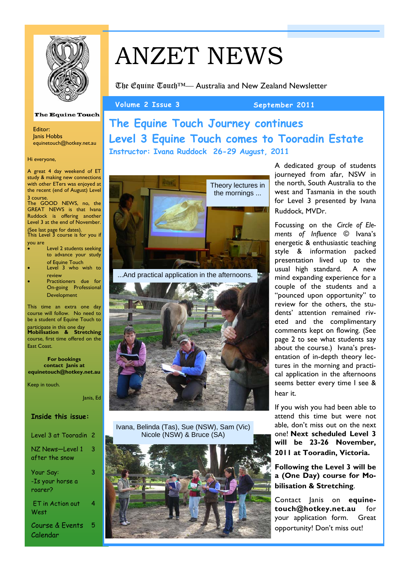

# ANZET NEWS

The Equine Touch™— Australia and New Zealand Newsletter

Volume 2 Issue 3 September 2011

# **The Equine Touch Journey continues Level 3 Equine Touch comes to Tooradin Estate Instructor: Ivana Ruddock 26-29 August, 2011**



A dedicated group of students journeyed from afar, NSW in the north, South Australia to the west and Tasmania in the south for Level 3 presented by Ivana Ruddock, MVDr.

Focussing on the *Circle of Elements of Influence ©* Ivana's energetic & enthusiastic teaching style & information packed presentation lived up to the usual high standard. A new mind expanding experience for a couple of the students and a "pounced upon opportunity" to review for the others, the students' attention remained riveted and the complimentary comments kept on flowing. (See page 2 to see what students say about the course.) Ivana's presentation of in-depth theory lectures in the morning and practical application in the afternoons seems better every time I see & hear it.

If you wish you had been able to attend this time but were not able, don't miss out on the next one! **Next scheduled Level 3 will be 23-26 November, 2011 at Tooradin, Victoria.**

**Following the Level 3 will be a (One Day) course for Mobilisation & Stretching**.

Contact Janis on **equinetouch@hotkey.net.au** for your application form. Great opportunity! Don't miss out!

### **The Equine Touch**

Editor: Janis Hobbs equinetouch@hotkey.net.au

Hi everyone,

A great 4 day weekend of ET study & making new connections with other ETers was enjoyed at the recent (end of August) Level 3 course.

The GOOD NEWS, no, the GREAT NEWS is that Ivana Ruddock is offering another Level 3 at the end of November. (See last page for dates). This Level 3 course is for you if

you are

- Level 2 students seeking to advance your study of Equine Touch
- Level 3 who wish to review
- Practitioners due for On-going Professional Development

This time an extra one day course will follow. No need to be a student of Equine Touch to

participate in this one day **Mobilisation & Stretching**  course, first time offered on the East Coast.

**For bookings contact Janis at equinetouch@hotkey.net.au** 

Keep in touch.

Janis, Ed

| Inside this issue:                       |   |
|------------------------------------------|---|
| Level 3 at Tooradin                      | 2 |
| NZ News—Level 1<br>after the snow        | 3 |
| Your Say:<br>-Is your horse a<br>roarer? | 3 |
| <b>ET</b> in Action out<br>West          | 4 |
| Course & Events<br>Calendar              | 5 |

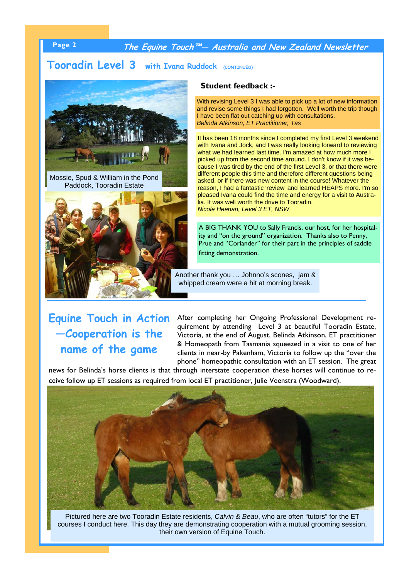**Page 2 The Equine Touch™— Australia and New Zealand Newsletter** 

# **Tooradin Level 3 with Ivana Ruddock (CONTINUED)**



Mossie, Spud & William in the Pond Paddock, Tooradin Estate



### **Student feedback :-**

With revising Level 3 I was able to pick up a lot of new information and revise some things I had forgotten. Well worth the trip though I have been flat out catching up with consultations. *Belinda Atkinson, ET Practitioner, Tas*

It has been 18 months since I completed my first Level 3 weekend with Ivana and Jock, and I was really looking forward to reviewing what we had learned last time. I'm amazed at how much more I picked up from the second time around. I don't know if it was because I was tired by the end of the first Level 3, or that there were different people this time and therefore different questions being asked, or if there was new content in the course! Whatever the reason, I had a fantastic 'review' and learned HEAPS more. I'm so pleased Ivana could find the time and energy for a visit to Australia. It was well worth the drive to Tooradin. *Nicole Heenan, Level 3 ET, NSW* 

A BIG THANK YOU to Sally Francis, our host, for her hospitality and "on the ground" organization. Thanks also to Penny, Prue and "Coriander" for their part in the principles of saddle fitting demonstration.

Another thank you … Johnno's scones, jam & whipped cream were a hit at morning break.

# **Equine Touch in Action —Cooperation is the name of the game**

After completing her Ongoing Professional Development requirement by attending Level 3 at beautiful Tooradin Estate, Victoria, at the end of August, Belinda Atkinson, ET practitioner & Homeopath from Tasmania squeezed in a visit to one of her clients in near-by Pakenham, Victoria to follow up the "over the phone" homeopathic consultation with an ET session. The great

news for Belinda's horse clients is that through interstate cooperation these horses will continue to receive follow up ET sessions as required from local ET practitioner, Julie Veenstra (Woodward).



Pictured here are two Tooradin Estate residents, *Calvin & Beau*, who are often "tutors" for the ET courses I conduct here. This day they are demonstrating cooperation with a mutual grooming session, their own version of Equine Touch.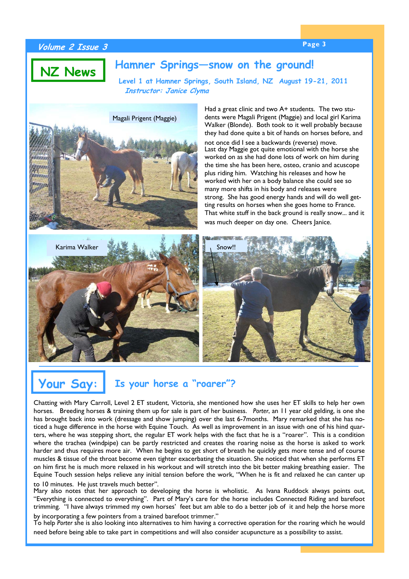### **Page 3 Volume 2 Issue 3**

# **Hamner Springs—snow on the ground! NZ News**

**Level 1 at Hamner Springs, South Island, NZ August 19-21, 2011 Instructor: Janice Clyma**



Had a great clinic and two A+ students. The two students were Magali Prigent (Maggie) and local girl Karima Walker (Blonde). Both took to it well probably because they had done quite a bit of hands on horses before, and

not once did I see a backwards (reverse) move. Last day Maggie got quite emotional with the horse she worked on as she had done lots of work on him during the time she has been here, osteo, cranio and acuscope plus riding him. Watching his releases and how he worked with her on a body balance she could see so many more shifts in his body and releases were strong. She has good energy hands and will do well getting results on horses when she goes home to France. That white stuff in the back ground is really snow... and it was much deeper on day one. Cheers Janice.





### **Your Say: Is your horse a "roarer"?**

Chatting with Mary Carroll, Level 2 ET student, Victoria, she mentioned how she uses her ET skills to help her own horses. Breeding horses & training them up for sale is part of her business. *Porter*, an 11 year old gelding, is one she has brought back into work (dressage and show jumping) over the last 6-7months. Mary remarked that she has noticed a huge difference in the horse with Equine Touch. As well as improvement in an issue with one of his hind quarters, where he was stepping short, the regular ET work helps with the fact that he is a "roarer". This is a condition where the trachea (windpipe) can be partly restricted and creates the roaring noise as the horse is asked to work harder and thus requires more air. When he begins to get short of breath he quickly gets more tense and of course muscles & tissue of the throat become even tighter exacerbating the situation. She noticed that when she performs ET on him first he is much more relaxed in his workout and will stretch into the bit better making breathing easier. The Equine Touch session helps relieve any initial tension before the work, "When he is fit and relaxed he can canter up to 10 minutes. He just travels much better".

Mary also notes that her approach to developing the horse is wholistic. As Ivana Ruddock always points out, "Everything is connected to everything". Part of Mary's care for the horse includes Connected Riding and barefoot trimming. "I have always trimmed my own horses' feet but am able to do a better job of it and help the horse more by incorporating a few pointers from a trained barefoot trimmer."

To help *Porter* she is also looking into alternatives to him having a corrective operation for the roaring which he would need before being able to take part in competitions and will also consider acupuncture as a possibility to assist.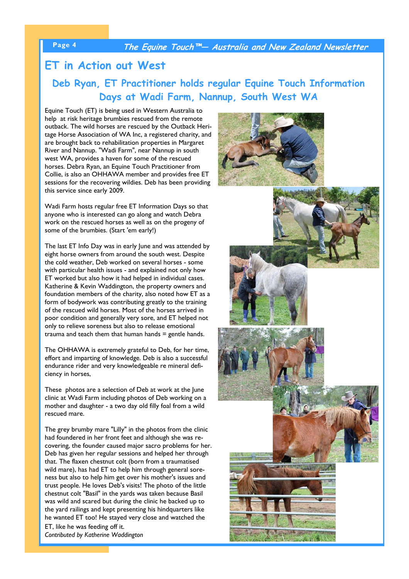**Page 4 The Equine Touch™— Australia and New Zealand Newsletter** 

### **ET in Action out West**

**Deb Ryan, ET Practitioner holds regular Equine Touch Information Days at Wadi Farm, Nannup, South West WA**

Equine Touch (ET) is being used in Western Australia to help at risk heritage brumbies rescued from the remote outback. The wild horses are rescued by the Outback Heritage Horse Association of WA Inc, a registered charity, and are brought back to rehabilitation properties in Margaret River and Nannup. "Wadi Farm", near Nannup in south west WA, provides a haven for some of the rescued horses. Debra Ryan, an Equine Touch Practitioner from Collie, is also an OHHAWA member and provides free ET sessions for the recovering wildies. Deb has been providing this service since early 2009.

Wadi Farm hosts regular free ET Information Days so that anyone who is interested can go along and watch Debra work on the rescued horses as well as on the progeny of some of the brumbies. (Start 'em early!)

The last ET Info Day was in early June and was attended by eight horse owners from around the south west. Despite the cold weather, Deb worked on several horses - some with particular health issues - and explained not only how ET worked but also how it had helped in individual cases. Katherine & Kevin Waddington, the property owners and foundation members of the charity, also noted how ET as a form of bodywork was contributing greatly to the training of the rescued wild horses. Most of the horses arrived in poor condition and generally very sore, and ET helped not only to relieve soreness but also to release emotional trauma and teach them that human hands  $=$  gentle hands.

The OHHAWA is extremely grateful to Deb, for her time, effort and imparting of knowledge. Deb is also a successful endurance rider and very knowledgeable re mineral deficiency in horses,

These photos are a selection of Deb at work at the June clinic at Wadi Farm including photos of Deb working on a mother and daughter - a two day old filly foal from a wild rescued mare.

The grey brumby mare "Lilly" in the photos from the clinic had foundered in her front feet and although she was recovering, the founder caused major sacro problems for her. Deb has given her regular sessions and helped her through that. The flaxen chestnut colt (born from a traumatised wild mare), has had ET to help him through general soreness but also to help him get over his mother's issues and trust people. He loves Deb's visits! The photo of the little chestnut colt "Basil" in the yards was taken because Basil was wild and scared but during the clinic he backed up to the yard railings and kept presenting his hindquarters like he wanted ET too! He stayed very close and watched the ET, like he was feeding off it.

*Contributed by Katherine Waddington*